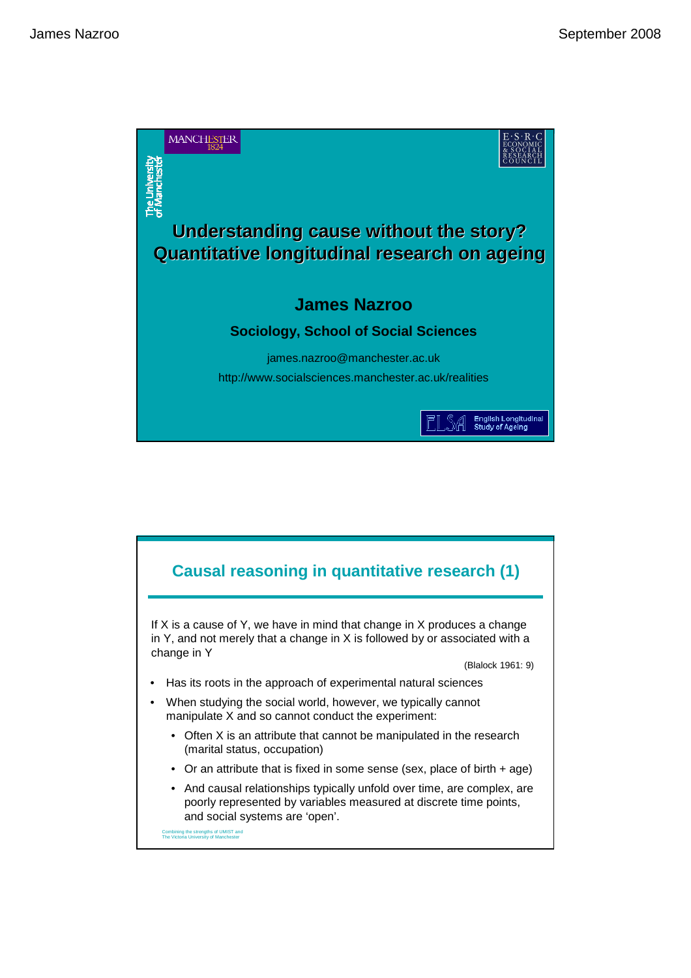

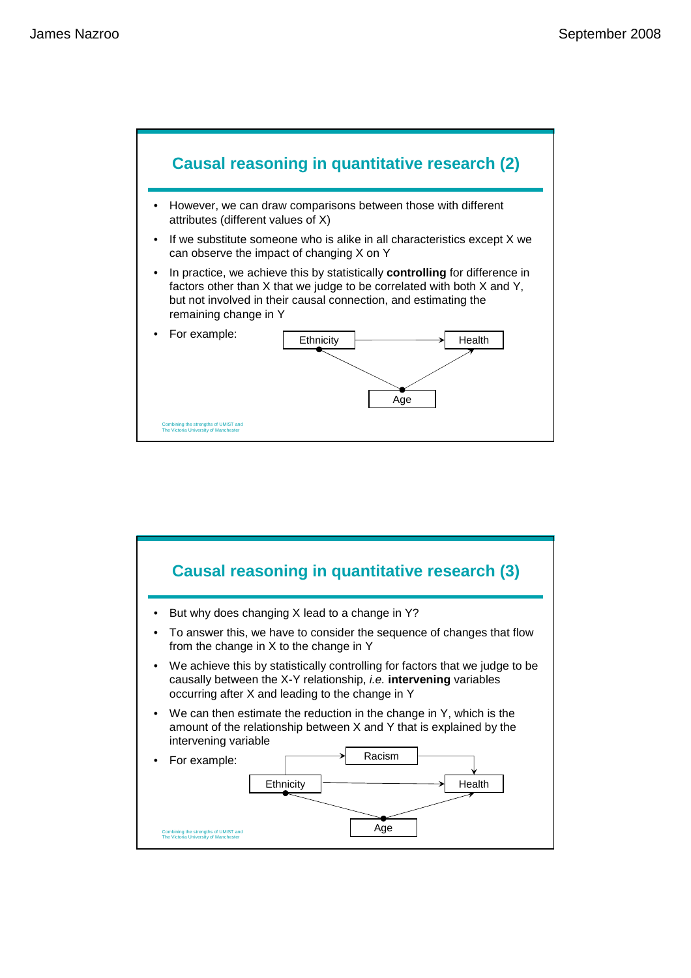

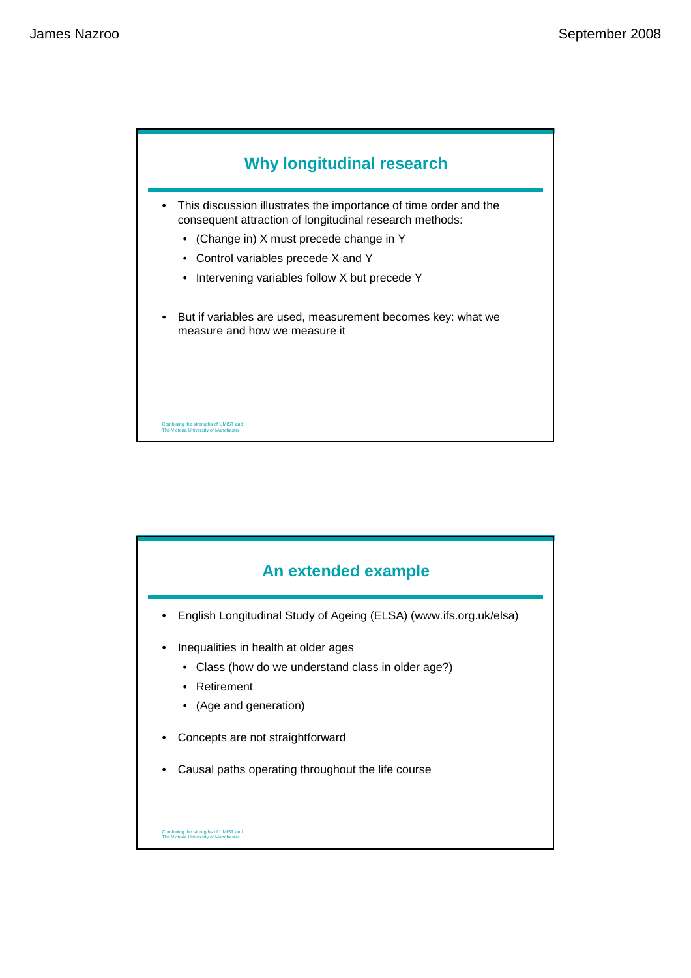

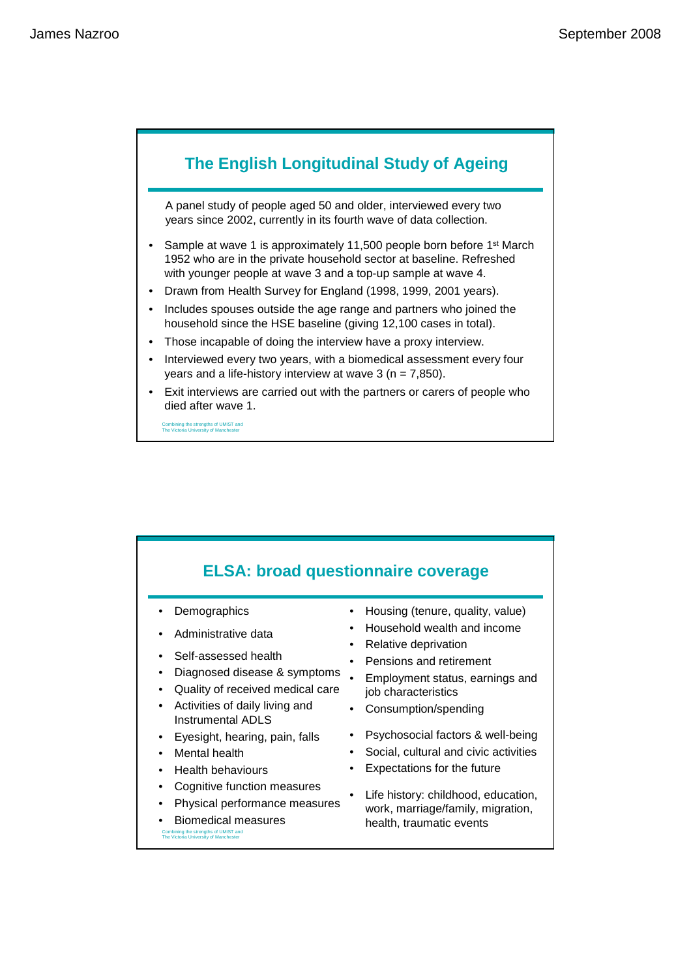

Combining the strengths of UMIST and The Victoria University of Manchester

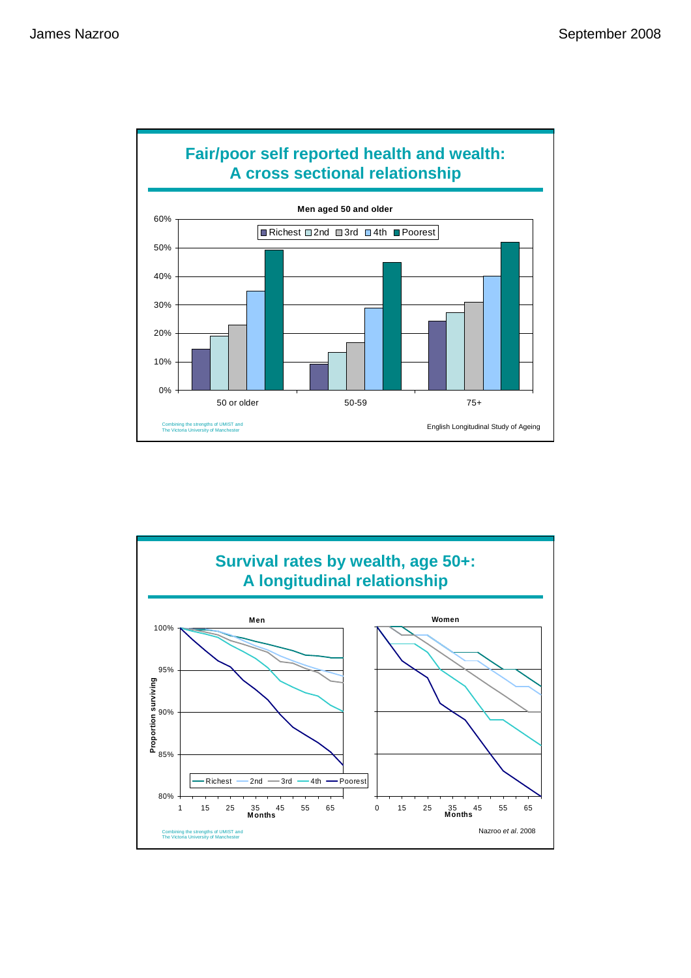

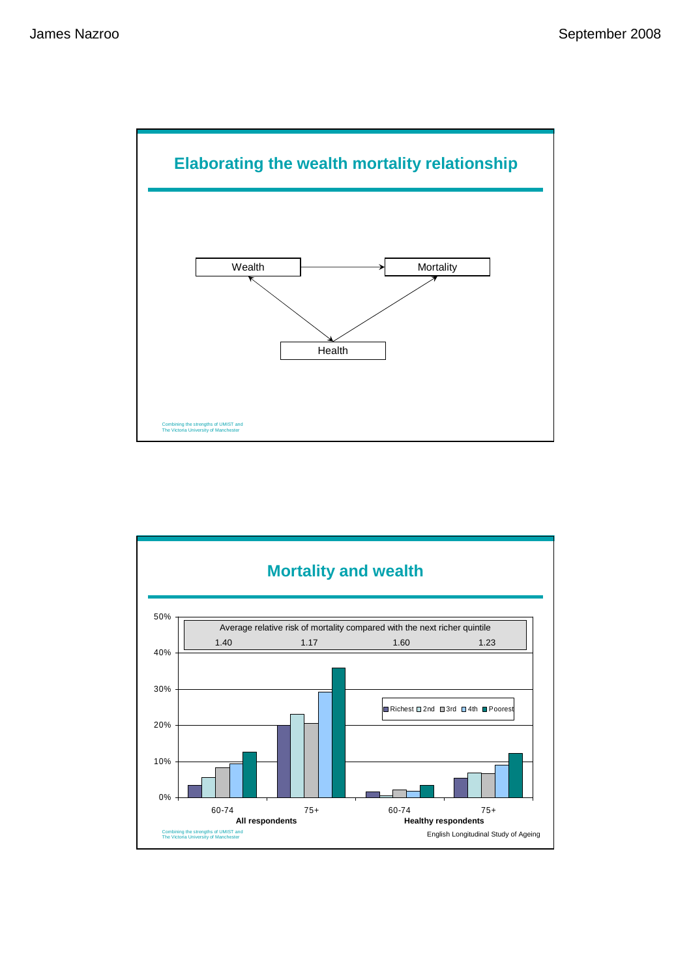

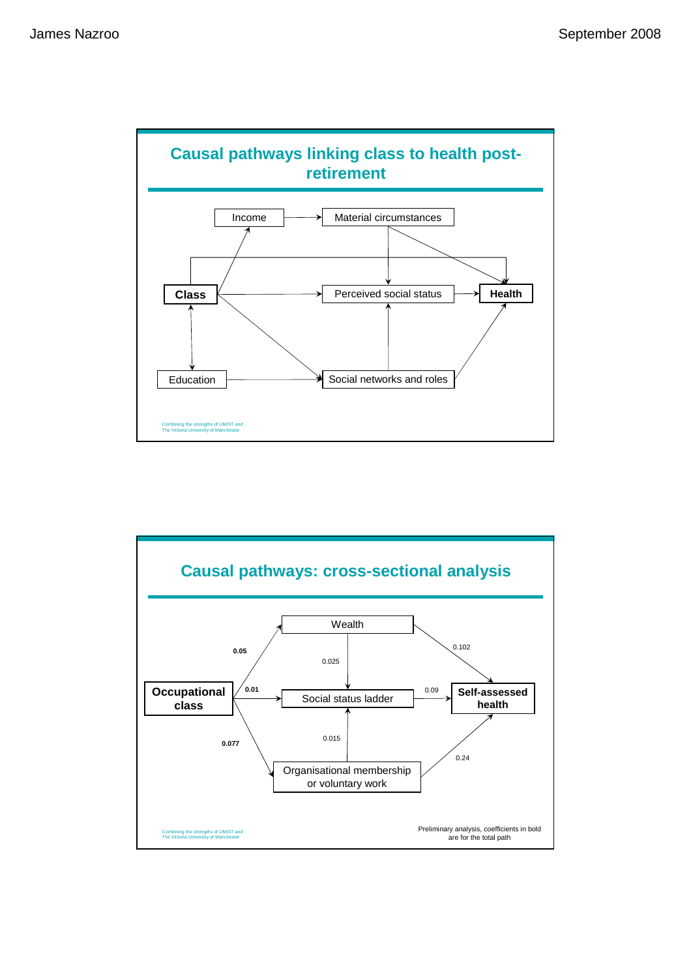

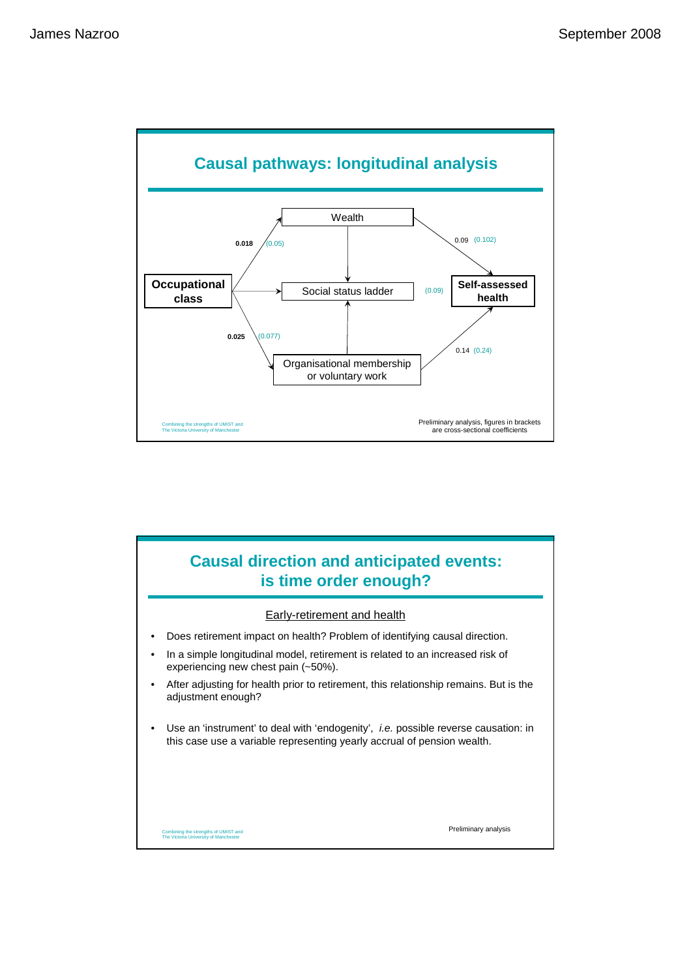

# Combining the strengths of UMIST and The Victoria University of Manchester **Causal direction and anticipated events: is time order enough?** • Does retirement impact on health? Problem of identifying causal direction. • In a simple longitudinal model, retirement is related to an increased risk of experiencing new chest pain (~50%). • After adjusting for health prior to retirement, this relationship remains. But is the adjustment enough? • Use an 'instrument' to deal with 'endogenity', i.e. possible reverse causation: in this case use a variable representing yearly accrual of pension wealth. Early-retirement and health Preliminary analysis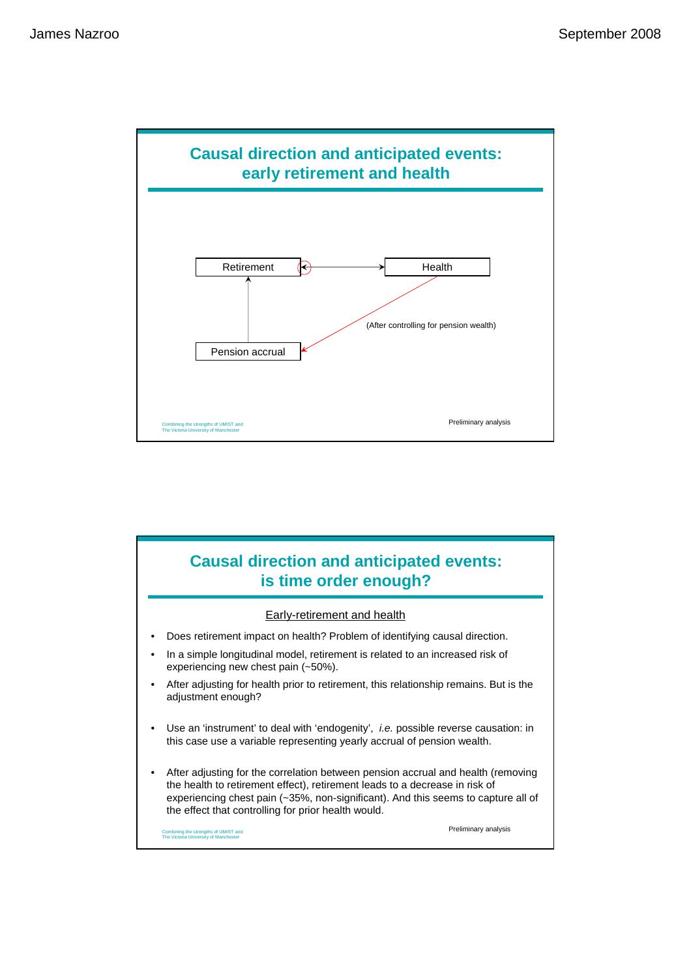

## **Causal direction and anticipated events: is time order enough?**

### Early-retirement and health

- Does retirement impact on health? Problem of identifying causal direction.
- In a simple longitudinal model, retirement is related to an increased risk of experiencing new chest pain (~50%).
- After adjusting for health prior to retirement, this relationship remains. But is the adjustment enough?
- Use an 'instrument' to deal with 'endogenity', i.e. possible reverse causation: in this case use a variable representing yearly accrual of pension wealth.
- After adjusting for the correlation between pension accrual and health (removing the health to retirement effect), retirement leads to a decrease in risk of experiencing chest pain (~35%, non-significant). And this seems to capture all of the effect that controlling for prior health would.

Combining the strengths of UMIST and The Victoria University of Manchester

Preliminary analysis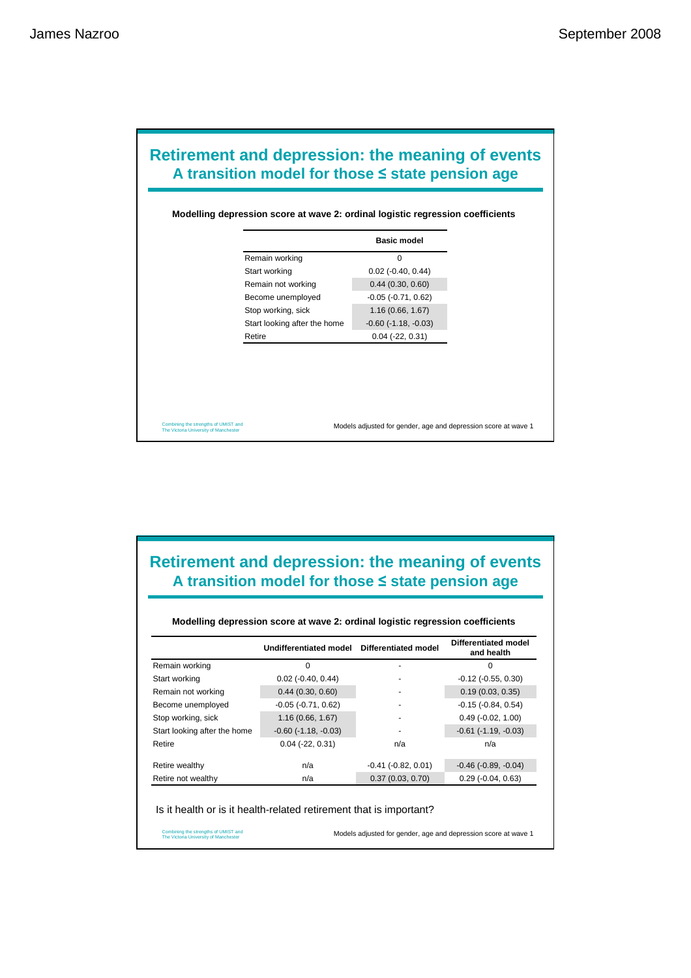## Start working 0.02 (-0.40, 0.44) Retire 0.04 (-22, 0.31) Start looking after the home -0.60 (-1.18, -0.03) Stop working, sick 1.16 (0.66, 1.67) Become unemployed -0.05 (-0.71, 0.62) Remain not working 0.44 (0.30, 0.60) Remain working 0 **Basic model Retirement and depression: the meaning of events A transition model for those** ≤ **state pension age Modelling depression score at wave 2: ordinal logistic regression coefficients**

Combining the strengths of UMIST and The Victoria University of Manchester

Models adjusted for gender, age and depression score at wave 1

### **Retirement and depression: the meaning of events A transition model for those** ≤ **state pension age**

#### **Modelling depression score at wave 2: ordinal logistic regression coefficients**

|                              | Undifferentiated model        | <b>Differentiated model</b> | Differentiated model<br>and health |
|------------------------------|-------------------------------|-----------------------------|------------------------------------|
| Remain working               | 0                             |                             | 0                                  |
| Start working                | $0.02$ ( $-0.40$ , $0.44$ )   |                             | $-0.12$ $(-0.55, 0.30)$            |
| Remain not working           | 0.44(0.30, 0.60)              |                             | 0.19(0.03, 0.35)                   |
| Become unemployed            | $-0.05$ $(-0.71, 0.62)$       |                             | $-0.15(-0.84, 0.54)$               |
| Stop working, sick           | 1.16(0.66, 1.67)              |                             | $0.49$ ( $-0.02$ , 1.00)           |
| Start looking after the home | $-0.60$ ( $-1.18$ , $-0.03$ ) |                             | $-0.61$ $(-1.19, -0.03)$           |
| Retire                       | $0.04$ ( $-22, 0.31$ )        | n/a                         | n/a                                |
| Retire wealthy               | n/a                           | $-0.41$ $(-0.82, 0.01)$     | $-0.46$ ( $-0.89$ , $-0.04$ )      |
| Retire not wealthy           | n/a                           | 0.37(0.03, 0.70)            | $0.29$ ( $-0.04$ , $0.63$ )        |

#### Is it health or is it health-related retirement that is important?

Combining the strengths of UMIST and The Victoria University of Manchester

Models adjusted for gender, age and depression score at wave 1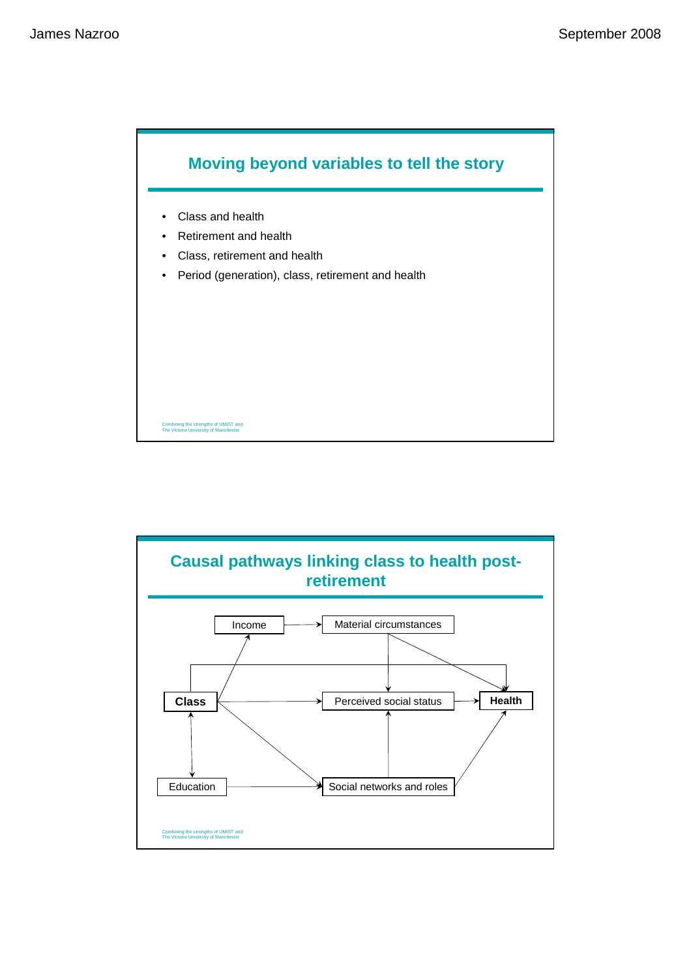

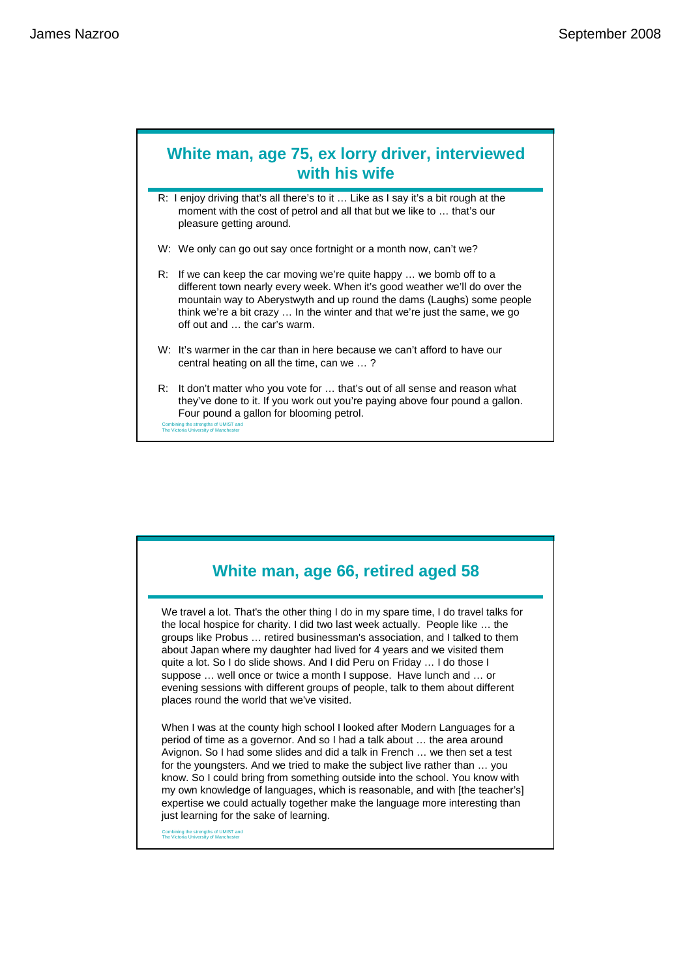### **White man, age 75, ex lorry driver, interviewed with his wife**

R: I enjoy driving that's all there's to it … Like as I say it's a bit rough at the moment with the cost of petrol and all that but we like to … that's our pleasure getting around.

- W: We only can go out say once fortnight or a month now, can't we?
- R: If we can keep the car moving we're quite happy … we bomb off to a different town nearly every week. When it's good weather we'll do over the mountain way to Aberystwyth and up round the dams (Laughs) some people think we're a bit crazy … In the winter and that we're just the same, we go off out and … the car's warm.
- W: It's warmer in the car than in here because we can't afford to have our central heating on all the time, can we … ?
- Combining the strengths of UMIST and R: It don't matter who you vote for … that's out of all sense and reason what they've done to it. If you work out you're paying above four pound a gallon. Four pound a gallon for blooming petrol.

**White man, age 66, retired aged 58**

We travel a lot. That's the other thing I do in my spare time, I do travel talks for the local hospice for charity. I did two last week actually. People like … the groups like Probus … retired businessman's association, and I talked to them about Japan where my daughter had lived for 4 years and we visited them quite a lot. So I do slide shows. And I did Peru on Friday … I do those I suppose … well once or twice a month I suppose. Have lunch and … or evening sessions with different groups of people, talk to them about different places round the world that we've visited.

When I was at the county high school I looked after Modern Languages for a period of time as a governor. And so I had a talk about … the area around Avignon. So I had some slides and did a talk in French … we then set a test for the youngsters. And we tried to make the subject live rather than … you know. So I could bring from something outside into the school. You know with my own knowledge of languages, which is reasonable, and with [the teacher's] expertise we could actually together make the language more interesting than just learning for the sake of learning.

Combining the strengths of UMIST and The Victoria University of Manchester

The Victoria University of Manchester